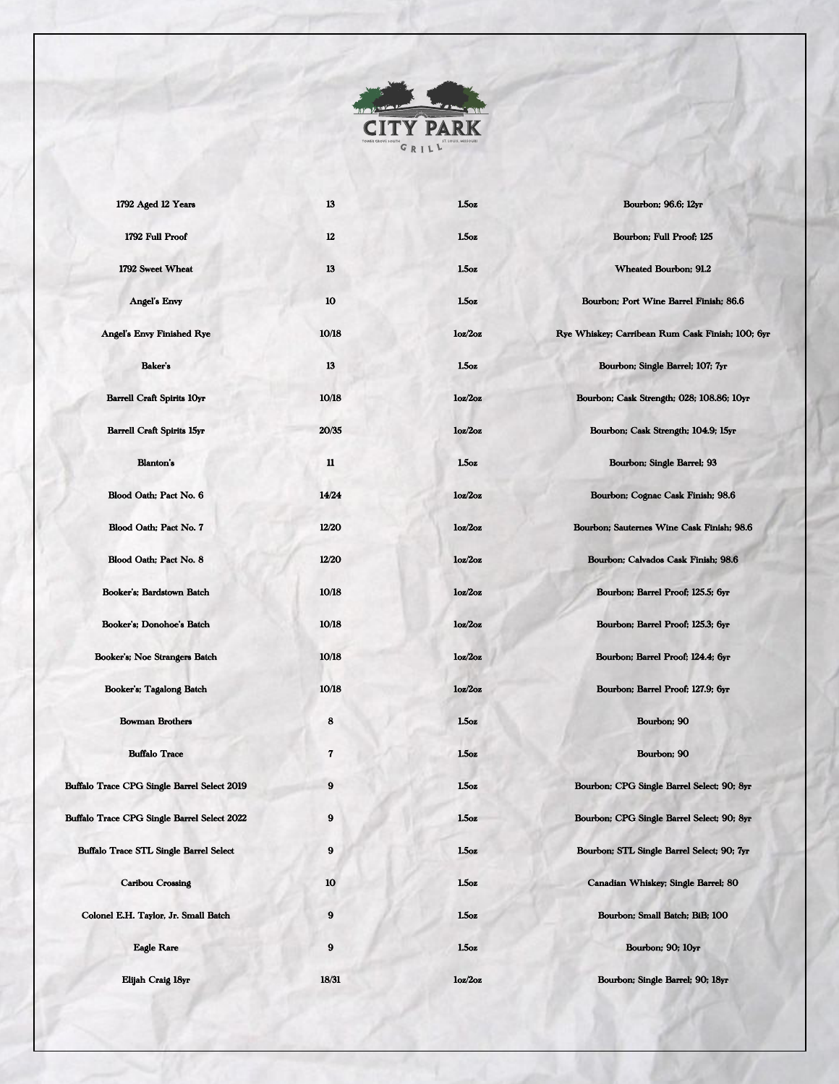

| 1792 Aged 12 Years                                 | 13           | 1.5 <sub>oz</sub> | Bourbon; 96.6; 12yr                              |
|----------------------------------------------------|--------------|-------------------|--------------------------------------------------|
| 1792 Full Proof                                    | 12           | 1.50z             | Bourbon; Full Proof; 125                         |
| 1792 Sweet Wheat                                   | 13           | 1.5 <sub>oz</sub> | <b>Wheated Bourbon; 91.2</b>                     |
| <b>Angel's Envy</b>                                | 10           | 1.5 <sub>oz</sub> | Bourbon; Port Wine Barrel Finish; 86.6           |
| Angel's Envy Finished Rye                          | 10/18        | 10z/2oz           | Rye Whiskey; Carribean Rum Cask Finish; 100; 6yr |
| Baker's                                            | 13           | 1.5 <sub>oz</sub> | Bourbon; Single Barrel; 107; 7yr                 |
| <b>Barrell Craft Spirits 10yr</b>                  | 10/18        | loz/2oz           | Bourbon; Cask Strength; 028; 108.86; 10yr        |
| <b>Barrell Craft Spirits 15yr</b>                  | 20/35        | loz/2oz           | Bourbon; Cask Strength; 104.9; 15yr              |
| <b>Blanton's</b>                                   | 11           | 1.5 <sub>oz</sub> | Bourbon; Single Barrel; 93                       |
| Blood Oath; Pact No. 6                             | 14/24        | 10z/2oz           | Bourbon; Cognac Cask Finish; 98.6                |
| Blood Oath; Pact No. 7                             | 12/20        | 10z/2oz           | Bourbon; Sauternes Wine Cask Finish; 98.6        |
| Blood Oath; Pact No. 8                             | <b>12/20</b> | loz/2oz           | Bourbon; Calvados Cask Finish; 98.6              |
| Booker's; Bardstown Batch                          | 10/18        | 10z/20z           | Bourbon; Barrel Proof; 125.5; 6yr                |
| Booker's; Donohoe's Batch                          | 10/18        | loz/2oz           | Bourbon; Barrel Proof; 125.3; 6yr                |
| Booker's; Noe Strangers Batch                      | 10/18        | 10z/2oz           | Bourbon; Barrel Proof; 124.4; 6yr                |
| Booker's; Tagalong Batch                           | 10/18        | loz/2oz           | Bourbon; Barrel Proof; 127.9; 6yr                |
| <b>Bowman Brothers</b>                             | 8            | 1.50z             | Bourbon; 90                                      |
| <b>Buffalo Trace</b>                               | 7            | 1.5 <sub>oz</sub> | Bourbon; 90                                      |
| Buffalo Trace CPG Single Barrel Select 2019        | 9            | 1.50z             | Bourbon; CPG Single Barrel Select; 90; 8yr       |
| <b>Buffalo Trace CPG Single Barrel Select 2022</b> | 9            | $1.5\sigma$ z     | Bourbon; CPG Single Barrel Select; 90; 8yr       |
| <b>Buffalo Trace STL Single Barrel Select</b>      | 9            | 1.50z             | Bourbon; STL Single Barrel Select; 90; 7yr       |
| Caribou Crossing                                   | 10           | $1.5\sigma$ z     | Canadian Whiskey; Single Barrel; 80              |
| Colonel E.H. Taylor, Jr. Small Batch               | 9            | 1.50z             | Bourbon; Small Batch; BiB; 100                   |
| <b>Eagle Rare</b>                                  | 9            | $1.5$ oz          | <b>Bourbon</b> ; 90; 10yr                        |
| Elijah Craig 18yr                                  | 18/31        | 10z/2oz           | Bourbon; Single Barrel; 90; 18yr                 |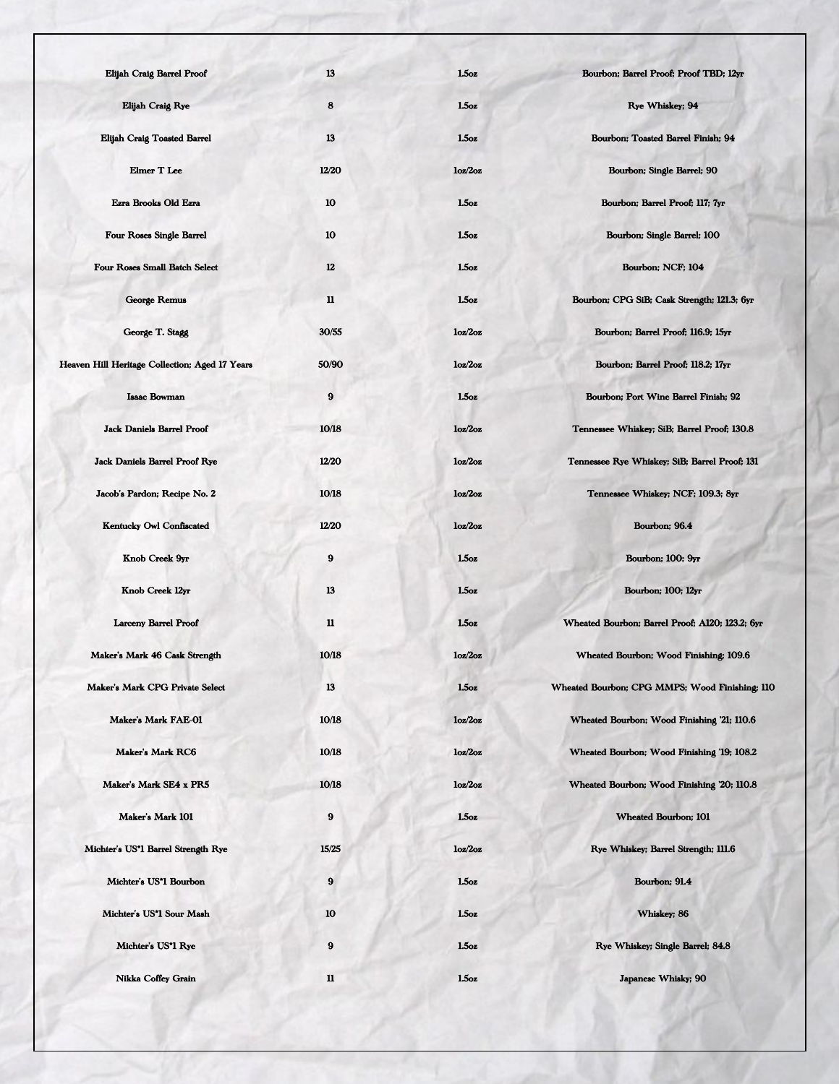| Elijah Craig Barrel Proof                      | 13          | 1.5 <sub>oz</sub> | Bourbon; Barrel Proof; Proof TBD; 12yr          |
|------------------------------------------------|-------------|-------------------|-------------------------------------------------|
| Elijah Craig Rye                               | 8           | 1.5 <sub>oz</sub> | Rye Whiskey; 94                                 |
| <b>Elijah Craig Toasted Barrel</b>             | 13          | $1.5\alpha$ z     | Bourbon; Toasted Barrel Finish; 94              |
| <b>Elmer T Lee</b>                             | 12/20       | 10z/2oz           | Bourbon; Single Barrel; 90                      |
| Ezra Brooks Old Ezra                           | 10          | 1.5 <sub>oz</sub> | Bourbon; Barrel Proof; 117; 7yr                 |
| <b>Four Roses Single Barrel</b>                | 10          | 1.5 <sub>oz</sub> | Bourbon; Single Barrel; 100                     |
| <b>Four Roses Small Batch Select</b>           | 12          | 1.5oz             | Bourbon; NCF; 104                               |
| <b>George Remus</b>                            | $\mathbf u$ | $1.5\sigma$ z     | Bourbon; CPG SiB; Cask Strength; 121.3; 6yr     |
| George T. Stagg                                | 30/55       | loz/2oz           | Bourbon; Barrel Proof; 116.9; 15yr              |
| Heaven Hill Heritage Collection; Aged 17 Years | 50/90       | 10z/2oz           | Bourbon; Barrel Proof; 118.2; 17yr              |
| <b>Isaac Bowman</b>                            | 9           | 1.5 <sub>oz</sub> | Bourbon; Port Wine Barrel Finish; 92            |
| <b>Jack Daniels Barrel Proof</b>               | 10/18       | 10z/2oz           | Tennessee Whiskey; SiB; Barrel Proof; 130.8     |
| <b>Jack Daniels Barrel Proof Rye</b>           | 12/20       | 10z/2oz           | Tennessee Rye Whiskey; SiB; Barrel Proof; 131   |
| Jacob's Pardon; Recipe No. 2                   | 10/18       | 10z/20z           | Tennessee Whiskey; NCF; 109.3; 8yr              |
| <b>Kentucky Owl Confiscated</b>                | 12/20       | 10z/2oz           | Bourbon; 96.4                                   |
| Knob Creek 9yr                                 | 9           | 1.5oz             | Bourbon; 100; 9yr                               |
| Knob Creek 12yr                                | 13          | 1.5 <sub>oz</sub> | Bourbon; 100; 12yr                              |
| <b>Larceny Barrel Proof</b>                    | 11          | 1.5 <sub>oz</sub> | Wheated Bourbon; Barrel Proof; A120; 123.2; 6yr |
| Maker's Mark 46 Cask Strength                  | 10/18       | 10z/2oz           | Wheated Bourbon; Wood Finishing; 109.6          |
| Maker's Mark CPG Private Select                | 13          | 1.50z             | Wheated Bourbon; CPG MMPS; Wood Finishing; 110  |
| Maker's Mark FAE-01                            | 10/18       | 10z/20z           | Wheated Bourbon; Wood Finishing '21; 110.6      |
| Maker's Mark RC6                               | 10/18       | loz/2oz           | Wheated Bourbon; Wood Finishing '19; 108.2      |
| Maker's Mark SE4 x PR5                         | 10/18       | 10z/2oz           | Wheated Bourbon; Wood Finishing '20; 110.8      |
| Maker's Mark 101                               | 9           | 1.5 <sub>oz</sub> | <b>Wheated Bourbon; 101</b>                     |
| Michter's US*1 Barrel Strength Rye             | 15/25       | loz/2oz           | Rye Whiskey; Barrel Strength; 111.6             |
| Michter's US'1 Bourbon                         | 9           | 1.5 <sub>oz</sub> | Bourbon; 91.4                                   |
| Michter's US*1 Sour Mash                       | 10          | 1.50z             | Whiskey; 86                                     |
| Michter's US <sup>*</sup> 1 Rye                | 9           | 1.5 <sub>oz</sub> | Rye Whiskey; Single Barrel; 84.8                |
| Nikka Coffey Grain                             | $\mathbf u$ | 1.50z             | Japanese Whisky; 90                             |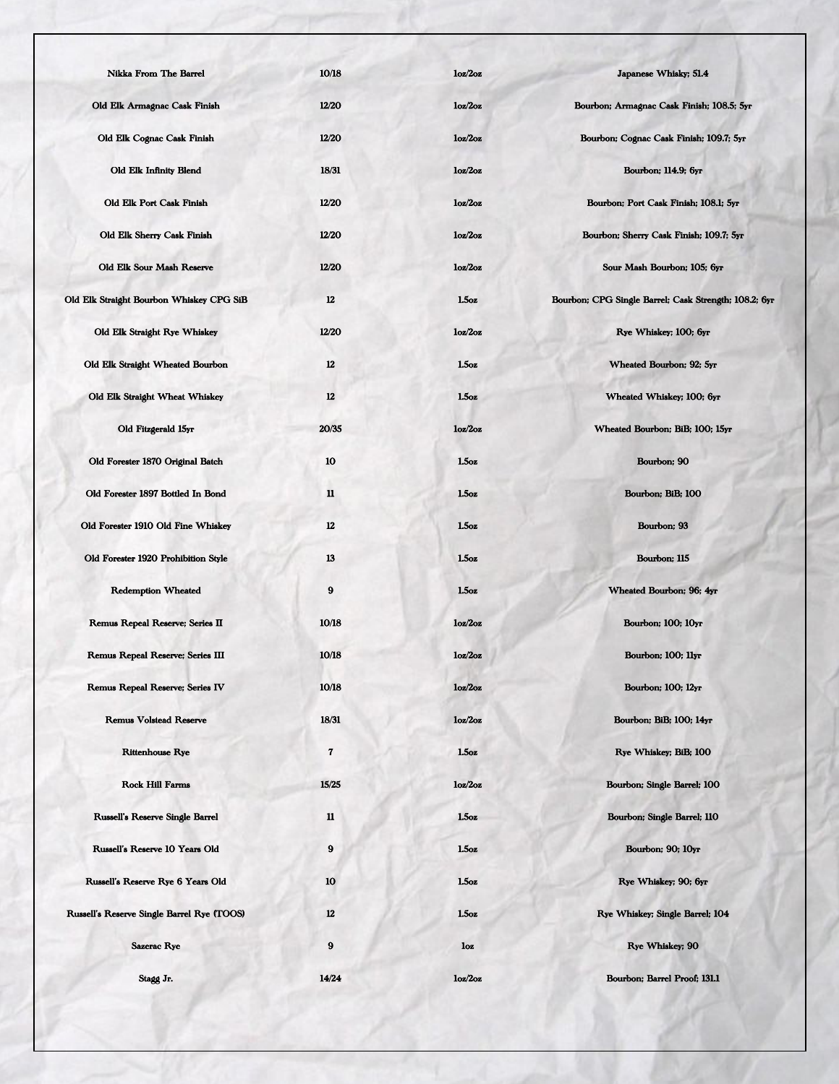| <b>Nikka From The Barrel</b>               | 10/18            | loz/2oz           | Japanese Whisky; 51.4                                 |
|--------------------------------------------|------------------|-------------------|-------------------------------------------------------|
| Old Elk Armagnac Cask Finish               | 12/20            | loz/2oz           | Bourbon; Armagnac Cask Finish; 108.5; 5yr             |
| Old Elk Cognac Cask Finish                 | 12/20            | 10z/2oz           | Bourbon; Cognac Cask Finish; 109.7; 5yr               |
| <b>Old Elk Infinity Blend</b>              | 18/31            | loz/2oz           | Bourbon; 114.9; 6yr                                   |
| Old Elk Port Cask Finish                   | 12/20            | loz/2oz           | Bourbon; Port Cask Finish; 108.1; 5yr                 |
| Old Elk Sherry Cask Finish                 | 12/20            | 10z/2oz           | Bourbon; Sherry Cask Finish; 109.7; 5yr               |
| Old Elk Sour Mash Reserve                  | 12/20            | 10z/20z           | Sour Mash Bourbon; 105; 6yr                           |
| Old Elk Straight Bourbon Whiskey CPG SiB   | 12               | 1.5 <sub>oz</sub> | Bourbon; CPG Single Barrel; Cask Strength; 108.2; 6yr |
| Old Elk Straight Rye Whiskey               | 12/20            | loz/2oz           | Rye Whiskey; 100; 6yr                                 |
| Old Elk Straight Wheated Bourbon           | $12\phantom{.0}$ | 1.5 <sub>oz</sub> | Wheated Bourbon; 92; 5yr                              |
| Old Elk Straight Wheat Whiskey             | 12               | 1.5oz             | Wheated Whiskey; 100; 6yr                             |
| Old Fitzgerald 15yr                        | 20/35            | 10z/2oz           | Wheated Bourbon; BiB; 100; 15yr                       |
| Old Forester 1870 Original Batch           | 10               | 1.5 <sub>oz</sub> | Bourbon; 90                                           |
| Old Forester 1897 Bottled In Bond          | $\mathbf{u}$     | 1.5 <sub>oz</sub> | Bourbon; BiB; 100                                     |
| Old Forester 1910 Old Fine Whiskey         | $12\phantom{.0}$ | 1.5 <sub>oz</sub> | Bourbon; 93                                           |
| Old Forester 1920 Prohibition Style        | 13               | 1.5oz             | Bourbon; 115                                          |
| <b>Redemption Wheated</b>                  | 9                | 1.5oz             | Wheated Bourbon; 96; 4yr                              |
| Remus Repeal Reserve; Series II            | 10/18            | 10z/2oz           | Bourbon; 100; 10yr                                    |
| Remus Repeal Reserve; Series III           | 10/18            | loz/2oz           | Bourbon; 100; 11yr                                    |
| <b>Remus Repeal Reserve; Series IV</b>     | 10/18            | loz/2oz           | <b>Bourbon</b> ; 100; 12yr                            |
| <b>Remus Volstead Reserve</b>              | 18/31            | 10z/2oz           | Bourbon; BiB; 100; 14yr                               |
| <b>Rittenhouse Rye</b>                     | 7                | 1.50z             | Rye Whiskey; BiB; 100                                 |
| <b>Rock Hill Farms</b>                     | 15/25            | 10z/2oz           | Bourbon; Single Barrel; 100                           |
| <b>Russell's Reserve Single Barrel</b>     | $\mathbf u$      | 1.5oz             | Bourbon; Single Barrel; 110                           |
| Russell's Reserve 10 Years Old             | 9                | $1.5\alpha z$     | Bourbon; 90; 10yr                                     |
| Russell's Reserve Rye 6 Years Old          | 10               | 1.5 <sub>oz</sub> | Rye Whiskey; 90; 6yr                                  |
| Russell's Reserve Single Barrel Rye (TOOS) | 12               | 1.50z             | Rye Whiskey; Single Barrel; 104                       |
| Sazerac Rye                                | 9                | loz               | Rye Whiskey; 90                                       |
| Stagg Jr.                                  | 14/24            | loz/2oz           | Bourbon; Barrel Proof; 131.1                          |